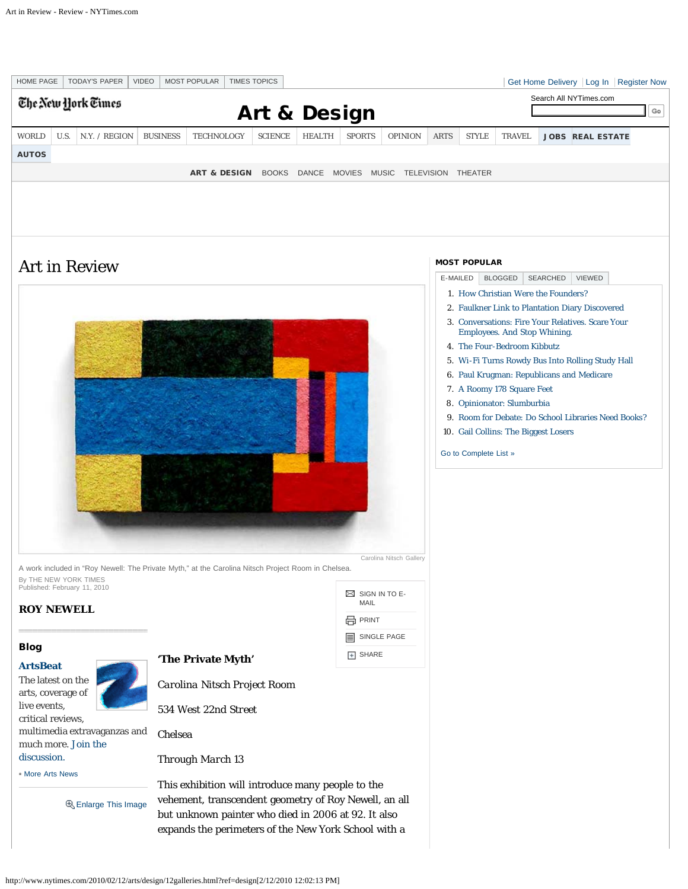<span id="page-0-0"></span>

http://www.nytimes.com/2010/02/12/arts/design/12galleries.html?ref=design[2/12/2010 12:02:13 PM]